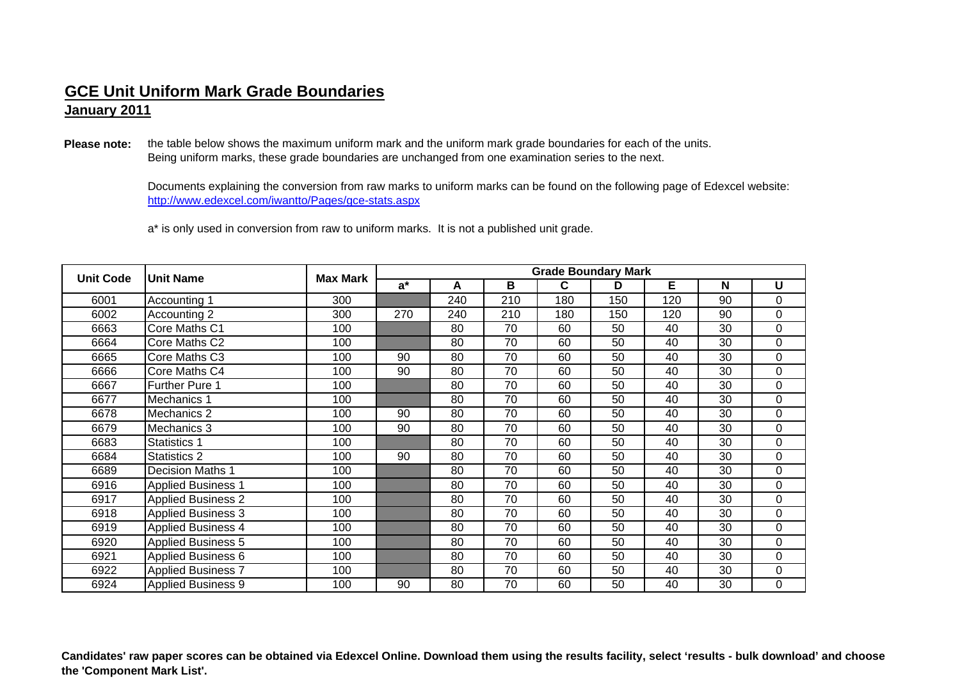**January 2011**

**Please note:** the table below shows the maximum uniform mark and the uniform mark grade boundaries for each of the units. Being uniform marks, these grade boundaries are unchanged from one examination series to the next.

> http://www.edexcel.com/iwantto/Pages/gce-stats.aspx Documents explaining the conversion from raw marks to uniform marks can be found on the following page of Edexcel website:

<sup>a</sup>\* is only used in conversion from raw to uniform marks. It is not a published unit grade.

| <b>Unit Code</b> | <b>Unit Name</b>          | <b>Max Mark</b> | <b>Grade Boundary Mark</b> |     |     |     |     |     |    |          |  |
|------------------|---------------------------|-----------------|----------------------------|-----|-----|-----|-----|-----|----|----------|--|
|                  |                           |                 | $a^*$                      | A   | B   | C   | D   | E   | N  | U        |  |
| 6001             | Accounting 1              | 300             |                            | 240 | 210 | 180 | 150 | 120 | 90 | $\Omega$ |  |
| 6002             | Accounting 2              | 300             | 270                        | 240 | 210 | 180 | 150 | 120 | 90 | 0        |  |
| 6663             | Core Maths C1             | 100             |                            | 80  | 70  | 60  | 50  | 40  | 30 | $\Omega$ |  |
| 6664             | Core Maths C2             | 100             |                            | 80  | 70  | 60  | 50  | 40  | 30 | 0        |  |
| 6665             | Core Maths C3             | 100             | 90                         | 80  | 70  | 60  | 50  | 40  | 30 | 0        |  |
| 6666             | Core Maths C4             | 100             | 90                         | 80  | 70  | 60  | 50  | 40  | 30 | $\Omega$ |  |
| 6667             | <b>Further Pure 1</b>     | 100             |                            | 80  | 70  | 60  | 50  | 40  | 30 | 0        |  |
| 6677             | Mechanics 1               | 100             |                            | 80  | 70  | 60  | 50  | 40  | 30 | 0        |  |
| 6678             | Mechanics 2               | 100             | 90                         | 80  | 70  | 60  | 50  | 40  | 30 | 0        |  |
| 6679             | Mechanics 3               | 100             | 90                         | 80  | 70  | 60  | 50  | 40  | 30 | 0        |  |
| 6683             | <b>Statistics 1</b>       | 100             |                            | 80  | 70  | 60  | 50  | 40  | 30 | $\Omega$ |  |
| 6684             | Statistics 2              | 100             | 90                         | 80  | 70  | 60  | 50  | 40  | 30 | 0        |  |
| 6689             | <b>Decision Maths 1</b>   | 100             |                            | 80  | 70  | 60  | 50  | 40  | 30 | $\Omega$ |  |
| 6916             | <b>Applied Business 1</b> | 100             |                            | 80  | 70  | 60  | 50  | 40  | 30 | 0        |  |
| 6917             | <b>Applied Business 2</b> | 100             |                            | 80  | 70  | 60  | 50  | 40  | 30 | 0        |  |
| 6918             | <b>Applied Business 3</b> | 100             |                            | 80  | 70  | 60  | 50  | 40  | 30 | 0        |  |
| 6919             | <b>Applied Business 4</b> | 100             |                            | 80  | 70  | 60  | 50  | 40  | 30 | 0        |  |
| 6920             | <b>Applied Business 5</b> | 100             |                            | 80  | 70  | 60  | 50  | 40  | 30 | $\Omega$ |  |
| 6921             | <b>Applied Business 6</b> | 100             |                            | 80  | 70  | 60  | 50  | 40  | 30 | 0        |  |
| 6922             | <b>Applied Business 7</b> | 100             |                            | 80  | 70  | 60  | 50  | 40  | 30 | 0        |  |
| 6924             | <b>Applied Business 9</b> | 100             | 90                         | 80  | 70  | 60  | 50  | 40  | 30 | 0        |  |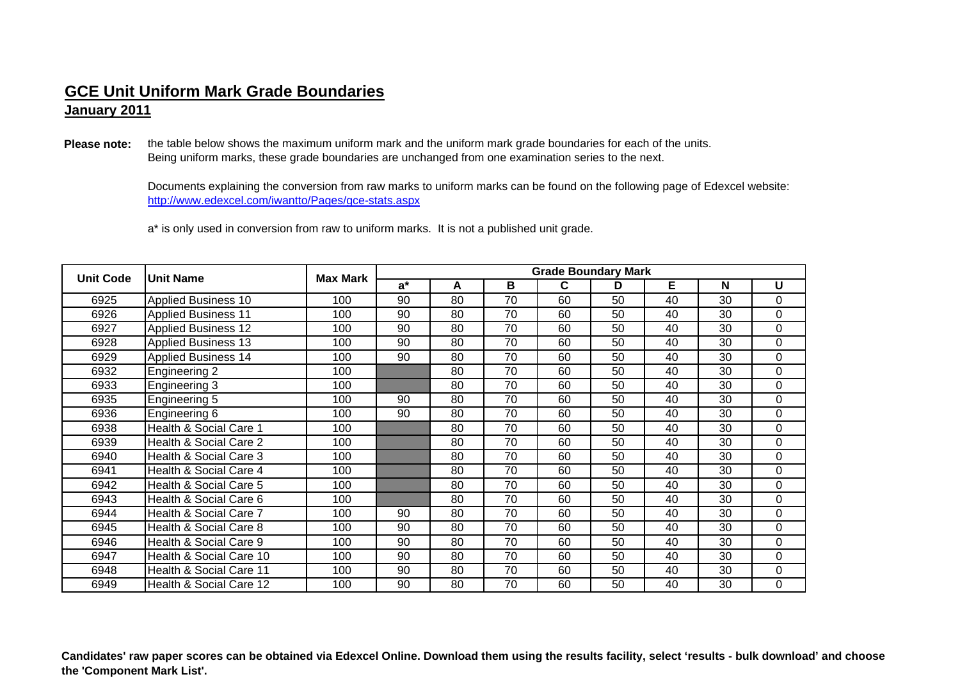**January 2011**

**Please note:** the table below shows the maximum uniform mark and the uniform mark grade boundaries for each of the units. Being uniform marks, these grade boundaries are unchanged from one examination series to the next.

> http://www.edexcel.com/iwantto/Pages/gce-stats.aspx Documents explaining the conversion from raw marks to uniform marks can be found on the following page of Edexcel website:

<sup>a</sup>\* is only used in conversion from raw to uniform marks. It is not a published unit grade.

| <b>Unit Code</b> | <b>Unit Name</b>           | <b>Max Mark</b> | <b>Grade Boundary Mark</b> |    |    |    |    |    |    |          |  |  |
|------------------|----------------------------|-----------------|----------------------------|----|----|----|----|----|----|----------|--|--|
|                  |                            |                 | $a^*$                      | A  | В  | C  | D  | Е  | N  | U        |  |  |
| 6925             | <b>Applied Business 10</b> | 100             | 90                         | 80 | 70 | 60 | 50 | 40 | 30 | 0        |  |  |
| 6926             | <b>Applied Business 11</b> | 100             | 90                         | 80 | 70 | 60 | 50 | 40 | 30 | $\Omega$ |  |  |
| 6927             | <b>Applied Business 12</b> | 100             | 90                         | 80 | 70 | 60 | 50 | 40 | 30 | $\Omega$ |  |  |
| 6928             | <b>Applied Business 13</b> | 100             | 90                         | 80 | 70 | 60 | 50 | 40 | 30 | 0        |  |  |
| 6929             | <b>Applied Business 14</b> | 100             | 90                         | 80 | 70 | 60 | 50 | 40 | 30 | 0        |  |  |
| 6932             | Engineering 2              | 100             |                            | 80 | 70 | 60 | 50 | 40 | 30 | $\Omega$ |  |  |
| 6933             | Engineering 3              | 100             |                            | 80 | 70 | 60 | 50 | 40 | 30 | 0        |  |  |
| 6935             | Engineering 5              | 100             | 90                         | 80 | 70 | 60 | 50 | 40 | 30 | 0        |  |  |
| 6936             | Engineering 6              | 100             | 90                         | 80 | 70 | 60 | 50 | 40 | 30 | 0        |  |  |
| 6938             | Health & Social Care 1     | 100             |                            | 80 | 70 | 60 | 50 | 40 | 30 | 0        |  |  |
| 6939             | Health & Social Care 2     | 100             |                            | 80 | 70 | 60 | 50 | 40 | 30 | $\Omega$ |  |  |
| 6940             | Health & Social Care 3     | 100             |                            | 80 | 70 | 60 | 50 | 40 | 30 | 0        |  |  |
| 6941             | Health & Social Care 4     | 100             |                            | 80 | 70 | 60 | 50 | 40 | 30 | $\Omega$ |  |  |
| 6942             | Health & Social Care 5     | 100             |                            | 80 | 70 | 60 | 50 | 40 | 30 | $\Omega$ |  |  |
| 6943             | Health & Social Care 6     | 100             |                            | 80 | 70 | 60 | 50 | 40 | 30 | 0        |  |  |
| 6944             | Health & Social Care 7     | 100             | 90                         | 80 | 70 | 60 | 50 | 40 | 30 | $\Omega$ |  |  |
| 6945             | Health & Social Care 8     | 100             | 90                         | 80 | 70 | 60 | 50 | 40 | 30 | 0        |  |  |
| 6946             | Health & Social Care 9     | 100             | 90                         | 80 | 70 | 60 | 50 | 40 | 30 | $\Omega$ |  |  |
| 6947             | Health & Social Care 10    | 100             | 90                         | 80 | 70 | 60 | 50 | 40 | 30 | $\Omega$ |  |  |
| 6948             | Health & Social Care 11    | 100             | 90                         | 80 | 70 | 60 | 50 | 40 | 30 | 0        |  |  |
| 6949             | Health & Social Care 12    | 100             | 90                         | 80 | 70 | 60 | 50 | 40 | 30 | 0        |  |  |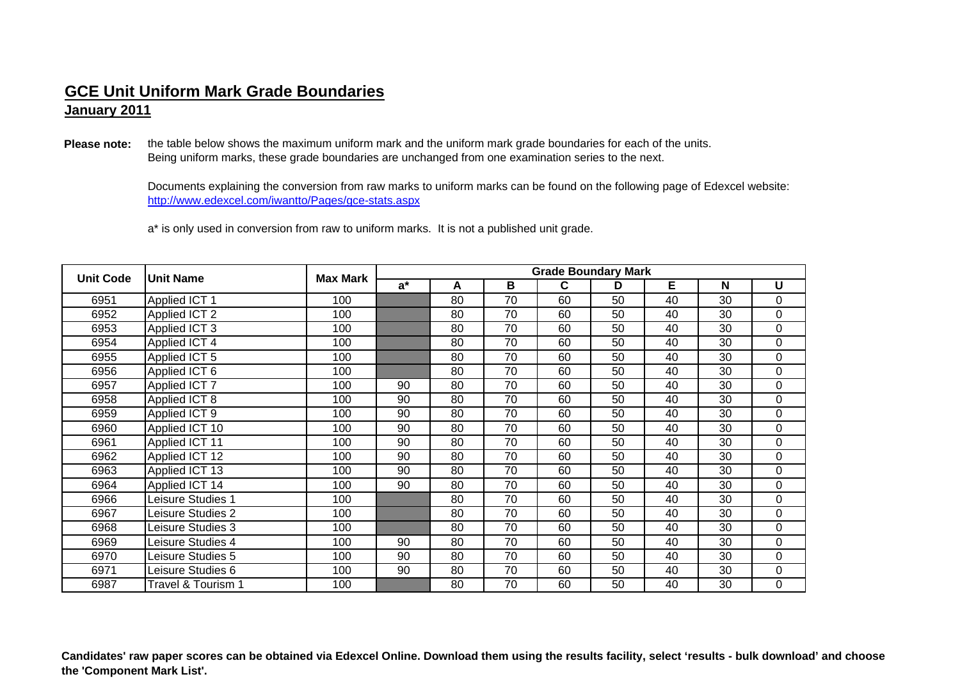**January 2011**

**Please note:** the table below shows the maximum uniform mark and the uniform mark grade boundaries for each of the units. Being uniform marks, these grade boundaries are unchanged from one examination series to the next.

> http://www.edexcel.com/iwantto/Pages/gce-stats.aspx Documents explaining the conversion from raw marks to uniform marks can be found on the following page of Edexcel website:

<sup>a</sup>\* is only used in conversion from raw to uniform marks. It is not a published unit grade.

| <b>Unit Code</b> | <b>Unit Name</b>   | <b>Max Mark</b> | <b>Grade Boundary Mark</b> |    |    |    |    |    |    |          |  |  |
|------------------|--------------------|-----------------|----------------------------|----|----|----|----|----|----|----------|--|--|
|                  |                    |                 | $a^*$                      | A  | B  | C  | D  | E  | N  | U        |  |  |
| 6951             | Applied ICT 1      | 100             |                            | 80 | 70 | 60 | 50 | 40 | 30 | $\Omega$ |  |  |
| 6952             | Applied ICT 2      | 100             |                            | 80 | 70 | 60 | 50 | 40 | 30 | 0        |  |  |
| 6953             | Applied ICT 3      | 100             |                            | 80 | 70 | 60 | 50 | 40 | 30 | 0        |  |  |
| 6954             | Applied ICT 4      | 100             |                            | 80 | 70 | 60 | 50 | 40 | 30 | 0        |  |  |
| 6955             | Applied ICT 5      | 100             |                            | 80 | 70 | 60 | 50 | 40 | 30 | 0        |  |  |
| 6956             | Applied ICT 6      | 100             |                            | 80 | 70 | 60 | 50 | 40 | 30 | 0        |  |  |
| 6957             | Applied ICT 7      | 100             | 90                         | 80 | 70 | 60 | 50 | 40 | 30 | 0        |  |  |
| 6958             | Applied ICT 8      | 100             | 90                         | 80 | 70 | 60 | 50 | 40 | 30 | 0        |  |  |
| 6959             | Applied ICT 9      | 100             | 90                         | 80 | 70 | 60 | 50 | 40 | 30 | 0        |  |  |
| 6960             | Applied ICT 10     | 100             | 90                         | 80 | 70 | 60 | 50 | 40 | 30 | 0        |  |  |
| 6961             | Applied ICT 11     | 100             | 90                         | 80 | 70 | 60 | 50 | 40 | 30 | 0        |  |  |
| 6962             | Applied ICT 12     | 100             | 90                         | 80 | 70 | 60 | 50 | 40 | 30 | 0        |  |  |
| 6963             | Applied ICT 13     | 100             | 90                         | 80 | 70 | 60 | 50 | 40 | 30 | 0        |  |  |
| 6964             | Applied ICT 14     | 100             | 90                         | 80 | 70 | 60 | 50 | 40 | 30 | 0        |  |  |
| 6966             | Leisure Studies 1  | 100             |                            | 80 | 70 | 60 | 50 | 40 | 30 | 0        |  |  |
| 6967             | eisure Studies 2   | 100             |                            | 80 | 70 | 60 | 50 | 40 | 30 | 0        |  |  |
| 6968             | eisure Studies 3   | 100             |                            | 80 | 70 | 60 | 50 | 40 | 30 | 0        |  |  |
| 6969             | eisure Studies 4   | 100             | 90                         | 80 | 70 | 60 | 50 | 40 | 30 | 0        |  |  |
| 6970             | eisure Studies 5   | 100             | 90                         | 80 | 70 | 60 | 50 | 40 | 30 | 0        |  |  |
| 6971             | Leisure Studies 6  | 100             | 90                         | 80 | 70 | 60 | 50 | 40 | 30 | 0        |  |  |
| 6987             | Travel & Tourism 1 | 100             |                            | 80 | 70 | 60 | 50 | 40 | 30 | 0        |  |  |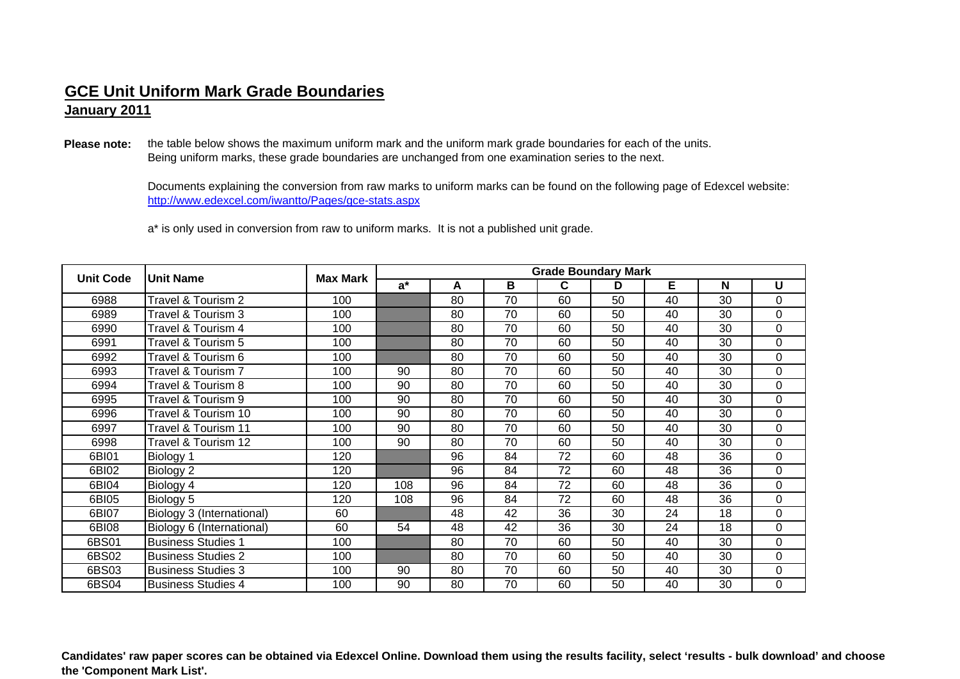**January 2011**

**Please note:** the table below shows the maximum uniform mark and the uniform mark grade boundaries for each of the units. Being uniform marks, these grade boundaries are unchanged from one examination series to the next.

> http://www.edexcel.com/iwantto/Pages/gce-stats.aspx Documents explaining the conversion from raw marks to uniform marks can be found on the following page of Edexcel website:

<sup>a</sup>\* is only used in conversion from raw to uniform marks. It is not a published unit grade.

| <b>Unit Code</b> | <b>Unit Name</b>          | <b>Max Mark</b> | <b>Grade Boundary Mark</b> |    |    |    |    |    |    |          |  |  |
|------------------|---------------------------|-----------------|----------------------------|----|----|----|----|----|----|----------|--|--|
|                  |                           |                 | $a^*$                      | A  | В  | С  | D  | E  | N  | U        |  |  |
| 6988             | Travel & Tourism 2        | 100             |                            | 80 | 70 | 60 | 50 | 40 | 30 | 0        |  |  |
| 6989             | Travel & Tourism 3        | 100             |                            | 80 | 70 | 60 | 50 | 40 | 30 | $\Omega$ |  |  |
| 6990             | Travel & Tourism 4        | 100             |                            | 80 | 70 | 60 | 50 | 40 | 30 | $\Omega$ |  |  |
| 6991             | Travel & Tourism 5        | 100             |                            | 80 | 70 | 60 | 50 | 40 | 30 | 0        |  |  |
| 6992             | Travel & Tourism 6        | 100             |                            | 80 | 70 | 60 | 50 | 40 | 30 | 0        |  |  |
| 6993             | Travel & Tourism 7        | 100             | 90                         | 80 | 70 | 60 | 50 | 40 | 30 | $\Omega$ |  |  |
| 6994             | Travel & Tourism 8        | 100             | 90                         | 80 | 70 | 60 | 50 | 40 | 30 | 0        |  |  |
| 6995             | Travel & Tourism 9        | 100             | 90                         | 80 | 70 | 60 | 50 | 40 | 30 | 0        |  |  |
| 6996             | Travel & Tourism 10       | 100             | 90                         | 80 | 70 | 60 | 50 | 40 | 30 | 0        |  |  |
| 6997             | Travel & Tourism 11       | 100             | 90                         | 80 | 70 | 60 | 50 | 40 | 30 | $\Omega$ |  |  |
| 6998             | Travel & Tourism 12       | 100             | 90                         | 80 | 70 | 60 | 50 | 40 | 30 | $\Omega$ |  |  |
| 6BI01            | Biology 1                 | 120             |                            | 96 | 84 | 72 | 60 | 48 | 36 | 0        |  |  |
| 6BI02            | Biology 2                 | 120             |                            | 96 | 84 | 72 | 60 | 48 | 36 | 0        |  |  |
| 6BI04            | Biology 4                 | 120             | 108                        | 96 | 84 | 72 | 60 | 48 | 36 | 0        |  |  |
| 6BI05            | Biology 5                 | 120             | 108                        | 96 | 84 | 72 | 60 | 48 | 36 | 0        |  |  |
| 6BI07            | Biology 3 (International) | 60              |                            | 48 | 42 | 36 | 30 | 24 | 18 | $\Omega$ |  |  |
| 6BI08            | Biology 6 (International) | 60              | 54                         | 48 | 42 | 36 | 30 | 24 | 18 | 0        |  |  |
| 6BS01            | <b>Business Studies 1</b> | 100             |                            | 80 | 70 | 60 | 50 | 40 | 30 | $\Omega$ |  |  |
| 6BS02            | <b>Business Studies 2</b> | 100             |                            | 80 | 70 | 60 | 50 | 40 | 30 | 0        |  |  |
| 6BS03            | <b>Business Studies 3</b> | 100             | 90                         | 80 | 70 | 60 | 50 | 40 | 30 | 0        |  |  |
| 6BS04            | <b>Business Studies 4</b> | 100             | 90                         | 80 | 70 | 60 | 50 | 40 | 30 | 0        |  |  |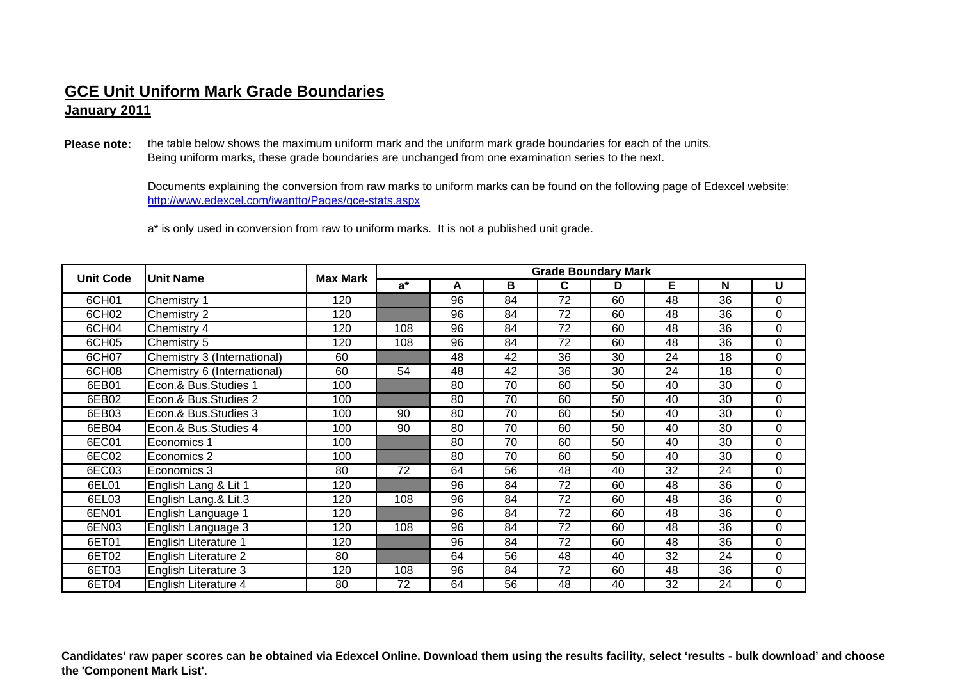**January 2011**

**Please note:** the table below shows the maximum uniform mark and the uniform mark grade boundaries for each of the units. Being uniform marks, these grade boundaries are unchanged from one examination series to the next.

> http://www.edexcel.com/iwantto/Pages/gce-stats.aspx Documents explaining the conversion from raw marks to uniform marks can be found on the following page of Edexcel website:

<sup>a</sup>\* is only used in conversion from raw to uniform marks. It is not a published unit grade.

| <b>Unit Code</b> | <b>Unit Name</b>            | <b>Max Mark</b> | <b>Grade Boundary Mark</b> |    |    |    |    |    |    |          |  |
|------------------|-----------------------------|-----------------|----------------------------|----|----|----|----|----|----|----------|--|
|                  |                             |                 | $a^*$                      | A  | В  | С  | D  | E  | N  | U        |  |
| 6CH01            | Chemistry 1                 | 120             |                            | 96 | 84 | 72 | 60 | 48 | 36 | $\Omega$ |  |
| 6CH02            | Chemistry 2                 | 120             |                            | 96 | 84 | 72 | 60 | 48 | 36 | 0        |  |
| 6CH04            | Chemistry 4                 | 120             | 108                        | 96 | 84 | 72 | 60 | 48 | 36 | $\Omega$ |  |
| 6CH05            | Chemistry 5                 | 120             | 108                        | 96 | 84 | 72 | 60 | 48 | 36 | 0        |  |
| 6CH07            | Chemistry 3 (International) | 60              |                            | 48 | 42 | 36 | 30 | 24 | 18 | 0        |  |
| 6CH08            | Chemistry 6 (International) | 60              | 54                         | 48 | 42 | 36 | 30 | 24 | 18 | $\Omega$ |  |
| 6EB01            | Econ.& Bus.Studies 1        | 100             |                            | 80 | 70 | 60 | 50 | 40 | 30 | 0        |  |
| 6EB02            | Econ.& Bus.Studies 2        | 100             |                            | 80 | 70 | 60 | 50 | 40 | 30 | 0        |  |
| 6EB03            | Econ.& Bus.Studies 3        | 100             | 90                         | 80 | 70 | 60 | 50 | 40 | 30 | 0        |  |
| 6EB04            | Econ.& Bus.Studies 4        | 100             | 90                         | 80 | 70 | 60 | 50 | 40 | 30 | 0        |  |
| 6EC01            | Economics 1                 | 100             |                            | 80 | 70 | 60 | 50 | 40 | 30 | $\Omega$ |  |
| 6EC02            | Economics 2                 | 100             |                            | 80 | 70 | 60 | 50 | 40 | 30 | 0        |  |
| 6EC03            | Economics 3                 | 80              | 72                         | 64 | 56 | 48 | 40 | 32 | 24 | $\Omega$ |  |
| 6EL01            | English Lang & Lit 1        | 120             |                            | 96 | 84 | 72 | 60 | 48 | 36 | 0        |  |
| 6EL03            | English Lang.& Lit.3        | 120             | 108                        | 96 | 84 | 72 | 60 | 48 | 36 | 0        |  |
| 6EN01            | English Language 1          | 120             |                            | 96 | 84 | 72 | 60 | 48 | 36 | $\Omega$ |  |
| 6EN03            | English Language 3          | 120             | 108                        | 96 | 84 | 72 | 60 | 48 | 36 | 0        |  |
| 6ET01            | English Literature 1        | 120             |                            | 96 | 84 | 72 | 60 | 48 | 36 | $\Omega$ |  |
| 6ET02            | <b>English Literature 2</b> | 80              |                            | 64 | 56 | 48 | 40 | 32 | 24 | $\Omega$ |  |
| 6ET03            | <b>English Literature 3</b> | 120             | 108                        | 96 | 84 | 72 | 60 | 48 | 36 | 0        |  |
| 6ET04            | <b>English Literature 4</b> | 80              | 72                         | 64 | 56 | 48 | 40 | 32 | 24 | 0        |  |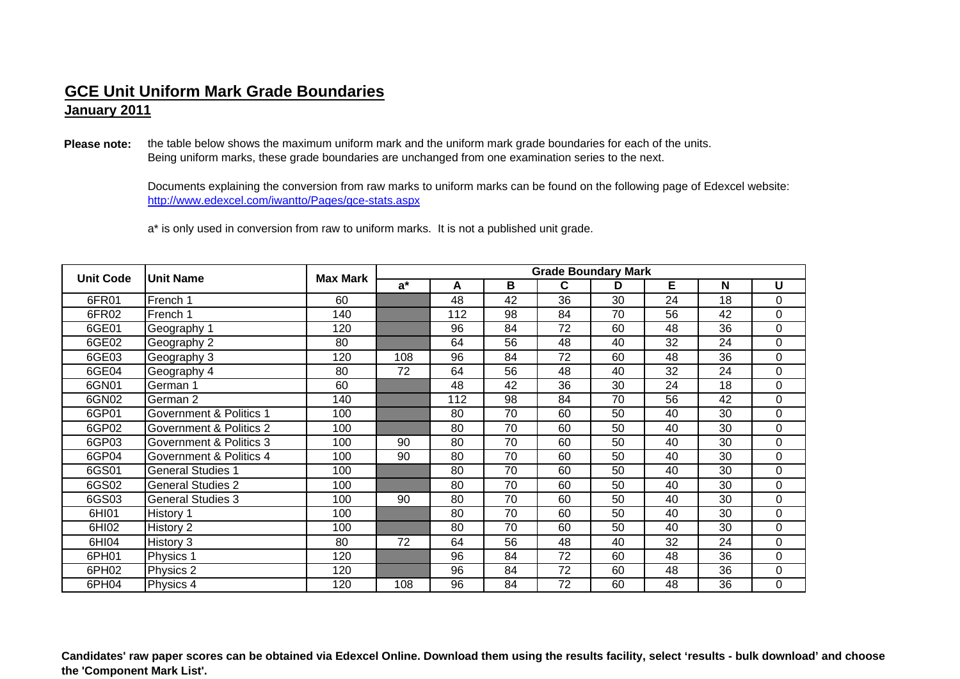**January 2011**

**Please note:** the table below shows the maximum uniform mark and the uniform mark grade boundaries for each of the units. Being uniform marks, these grade boundaries are unchanged from one examination series to the next.

> http://www.edexcel.com/iwantto/Pages/gce-stats.aspx Documents explaining the conversion from raw marks to uniform marks can be found on the following page of Edexcel website:

<sup>a</sup>\* is only used in conversion from raw to uniform marks. It is not a published unit grade.

| <b>Unit Code</b> | <b>Unit Name</b>         | <b>Max Mark</b> | <b>Grade Boundary Mark</b> |     |    |    |    |    |    |          |  |
|------------------|--------------------------|-----------------|----------------------------|-----|----|----|----|----|----|----------|--|
|                  |                          |                 | $a^*$                      | A   | B  | C  | D  | E  | N  | U        |  |
| 6FR01            | French 1                 | 60              |                            | 48  | 42 | 36 | 30 | 24 | 18 | $\Omega$ |  |
| 6FR02            | French 1                 | 140             |                            | 112 | 98 | 84 | 70 | 56 | 42 | 0        |  |
| 6GE01            | Geography 1              | 120             |                            | 96  | 84 | 72 | 60 | 48 | 36 | $\Omega$ |  |
| 6GE02            | Geography 2              | 80              |                            | 64  | 56 | 48 | 40 | 32 | 24 | 0        |  |
| 6GE03            | Geography 3              | 120             | 108                        | 96  | 84 | 72 | 60 | 48 | 36 | 0        |  |
| 6GE04            | Geography 4              | 80              | 72                         | 64  | 56 | 48 | 40 | 32 | 24 | 0        |  |
| 6GN01            | German 1                 | 60              |                            | 48  | 42 | 36 | 30 | 24 | 18 | 0        |  |
| 6GN02            | German 2                 | 140             |                            | 112 | 98 | 84 | 70 | 56 | 42 | $\Omega$ |  |
| 6GP01            | Government & Politics 1  | 100             |                            | 80  | 70 | 60 | 50 | 40 | 30 | 0        |  |
| 6GP02            | Government & Politics 2  | 100             |                            | 80  | 70 | 60 | 50 | 40 | 30 | 0        |  |
| 6GP03            | Government & Politics 3  | 100             | 90                         | 80  | 70 | 60 | 50 | 40 | 30 | $\Omega$ |  |
| 6GP04            | Government & Politics 4  | 100             | 90                         | 80  | 70 | 60 | 50 | 40 | 30 | 0        |  |
| 6GS01            | <b>General Studies 1</b> | 100             |                            | 80  | 70 | 60 | 50 | 40 | 30 | $\Omega$ |  |
| 6GS02            | <b>General Studies 2</b> | 100             |                            | 80  | 70 | 60 | 50 | 40 | 30 | 0        |  |
| 6GS03            | <b>General Studies 3</b> | 100             | 90                         | 80  | 70 | 60 | 50 | 40 | 30 | 0        |  |
| 6HI01            | History 1                | 100             |                            | 80  | 70 | 60 | 50 | 40 | 30 | 0        |  |
| 6HI02            | History 2                | 100             |                            | 80  | 70 | 60 | 50 | 40 | 30 | 0        |  |
| 6HI04            | History 3                | 80              | 72                         | 64  | 56 | 48 | 40 | 32 | 24 | 0        |  |
| 6PH01            | Physics 1                | 120             |                            | 96  | 84 | 72 | 60 | 48 | 36 | $\Omega$ |  |
| 6PH02            | Physics 2                | 120             |                            | 96  | 84 | 72 | 60 | 48 | 36 | 0        |  |
| 6PH04            | Physics 4                | 120             | 108                        | 96  | 84 | 72 | 60 | 48 | 36 | 0        |  |